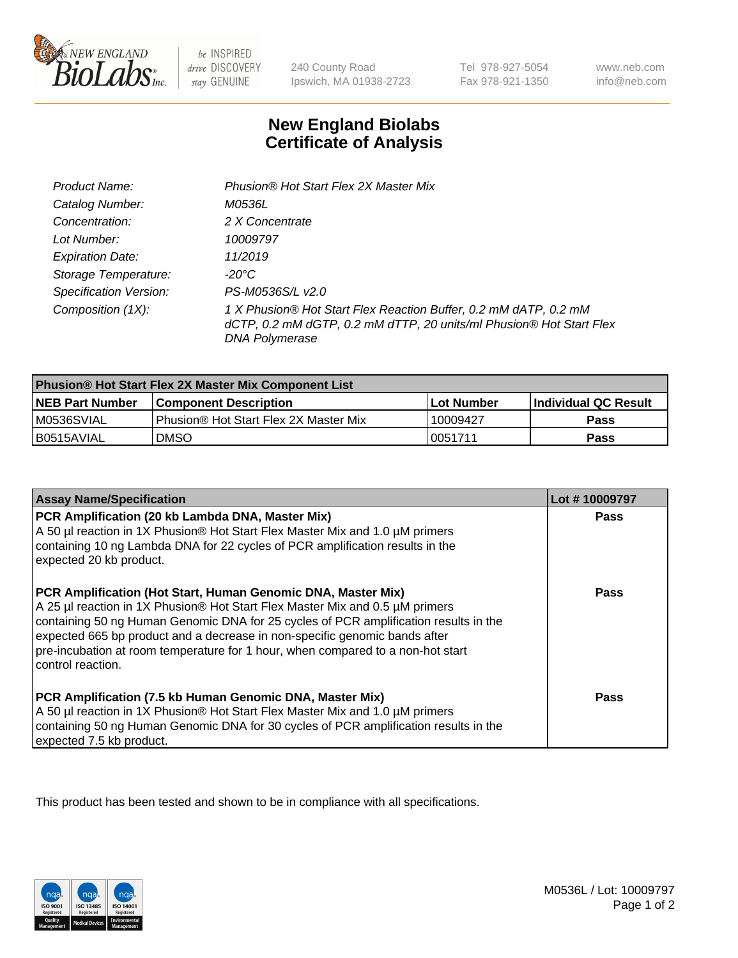

be INSPIRED drive DISCOVERY stay GENUINE

240 County Road Ipswich, MA 01938-2723

Tel 978-927-5054 Fax 978-921-1350

www.neb.com info@neb.com

## **New England Biolabs Certificate of Analysis**

| Product Name:                 | Phusion® Hot Start Flex 2X Master Mix                                                                                                                     |
|-------------------------------|-----------------------------------------------------------------------------------------------------------------------------------------------------------|
| Catalog Number:               | <i>M0536L</i>                                                                                                                                             |
| Concentration:                | 2 X Concentrate                                                                                                                                           |
| Lot Number:                   | 10009797                                                                                                                                                  |
| <b>Expiration Date:</b>       | 11/2019                                                                                                                                                   |
| Storage Temperature:          | -20°C                                                                                                                                                     |
| <b>Specification Version:</b> | PS-M0536S/L v2.0                                                                                                                                          |
| Composition (1X):             | 1 X Phusion® Hot Start Flex Reaction Buffer, 0.2 mM dATP, 0.2 mM<br>dCTP, 0.2 mM dGTP, 0.2 mM dTTP, 20 units/ml Phusion® Hot Start Flex<br>DNA Polymerase |

| <b>Phusion® Hot Start Flex 2X Master Mix Component List</b> |                                       |            |                             |  |
|-------------------------------------------------------------|---------------------------------------|------------|-----------------------------|--|
| <b>NEB Part Number</b>                                      | <b>Component Description</b>          | Lot Number | <b>Individual QC Result</b> |  |
| M0536SVIAL                                                  | Phusion® Hot Start Flex 2X Master Mix | 10009427   | Pass                        |  |
| I B0515AVIAL                                                | <b>DMSO</b>                           | 10051711   | <b>Pass</b>                 |  |

| <b>Assay Name/Specification</b>                                                                                                                                                                                                                                                                                                                                                                                            | Lot #10009797 |
|----------------------------------------------------------------------------------------------------------------------------------------------------------------------------------------------------------------------------------------------------------------------------------------------------------------------------------------------------------------------------------------------------------------------------|---------------|
| PCR Amplification (20 kb Lambda DNA, Master Mix)<br>A 50 µl reaction in 1X Phusion® Hot Start Flex Master Mix and 1.0 µM primers<br>containing 10 ng Lambda DNA for 22 cycles of PCR amplification results in the<br>expected 20 kb product.                                                                                                                                                                               | Pass          |
| PCR Amplification (Hot Start, Human Genomic DNA, Master Mix)<br>A 25 µl reaction in 1X Phusion® Hot Start Flex Master Mix and 0.5 µM primers<br>containing 50 ng Human Genomic DNA for 25 cycles of PCR amplification results in the<br>expected 665 bp product and a decrease in non-specific genomic bands after<br>pre-incubation at room temperature for 1 hour, when compared to a non-hot start<br>control reaction. | <b>Pass</b>   |
| PCR Amplification (7.5 kb Human Genomic DNA, Master Mix)<br>A 50 µl reaction in 1X Phusion® Hot Start Flex Master Mix and 1.0 µM primers<br>containing 50 ng Human Genomic DNA for 30 cycles of PCR amplification results in the<br>expected 7.5 kb product.                                                                                                                                                               | Pass          |

This product has been tested and shown to be in compliance with all specifications.